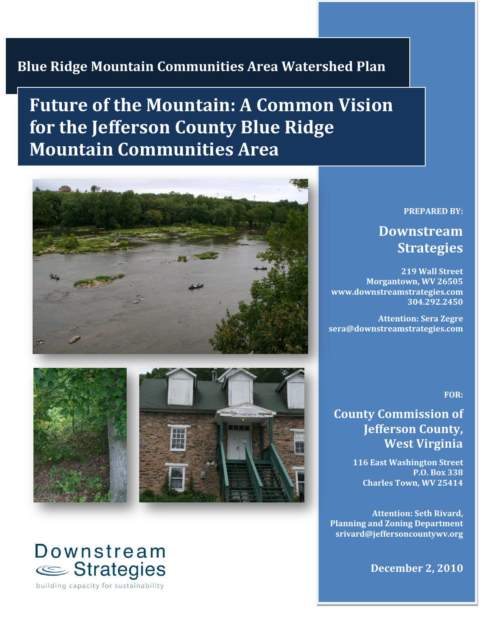## **Blue Ridge Mountain Communities Area Watershed Plan**

# **Future of the Mountain: A Common Vision for the Jefferson County Blue Ridge Mountain Communities Area**





# Downstream Strategies

building capacity for sustainability

#### **PREPARED BY:**

## **Downstream Strategies**

**219 Wall Street Morgantown, WV 26505 www.downstreamstrategies.com 304.292.2450**

**Attention: Sera Zegre sera@downstreamstrategies.com**

**FOR:**

## **County Commission of Jefferson County, West Virginia**

**116 East Washington Street P.O. Box 338 Charles Town, WV 25414**

**Attention: Seth Rivard, Planning and Zoning Department srivard@jeffersoncountywv.org**

**December 2, 2010**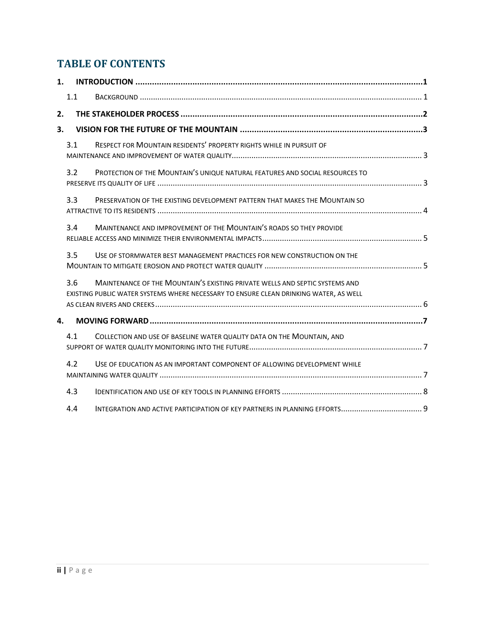## **TABLE OF CONTENTS**

| 1. |     |                                                                                                                                                                      |
|----|-----|----------------------------------------------------------------------------------------------------------------------------------------------------------------------|
|    | 1.1 |                                                                                                                                                                      |
| 2. |     |                                                                                                                                                                      |
| 3. |     |                                                                                                                                                                      |
|    | 3.1 | RESPECT FOR MOUNTAIN RESIDENTS' PROPERTY RIGHTS WHILE IN PURSUIT OF                                                                                                  |
|    | 3.2 | PROTECTION OF THE MOUNTAIN'S UNIQUE NATURAL FEATURES AND SOCIAL RESOURCES TO                                                                                         |
|    | 3.3 | PRESERVATION OF THE EXISTING DEVELOPMENT PATTERN THAT MAKES THE MOUNTAIN SO                                                                                          |
|    | 3.4 | MAINTENANCE AND IMPROVEMENT OF THE MOUNTAIN'S ROADS SO THEY PROVIDE                                                                                                  |
|    | 3.5 | USE OF STORMWATER BEST MANAGEMENT PRACTICES FOR NEW CONSTRUCTION ON THE                                                                                              |
|    | 3.6 | MAINTENANCE OF THE MOUNTAIN'S EXISTING PRIVATE WELLS AND SEPTIC SYSTEMS AND<br>EXISTING PUBLIC WATER SYSTEMS WHERE NECESSARY TO ENSURE CLEAN DRINKING WATER. AS WELL |
| 4. |     |                                                                                                                                                                      |
|    | 4.1 | COLLECTION AND USE OF BASELINE WATER QUALITY DATA ON THE MOUNTAIN, AND                                                                                               |
|    | 4.2 | USE OF EDUCATION AS AN IMPORTANT COMPONENT OF ALLOWING DEVELOPMENT WHILE                                                                                             |
|    | 4.3 |                                                                                                                                                                      |
|    | 4.4 | INTEGRATION AND ACTIVE PARTICIPATION OF KEY PARTNERS IN PLANNING EFFORTS 9                                                                                           |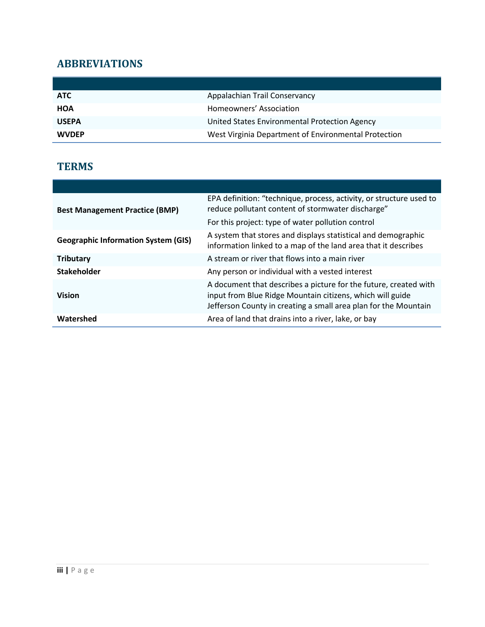## **ABBREVIATIONS**

| <b>ATC</b>   | Appalachian Trail Conservancy                        |
|--------------|------------------------------------------------------|
| <b>HOA</b>   | Homeowners' Association                              |
| <b>USEPA</b> | United States Environmental Protection Agency        |
| <b>WVDEP</b> | West Virginia Department of Environmental Protection |

### **TERMS**

| <b>Best Management Practice (BMP)</b>      | EPA definition: "technique, process, activity, or structure used to<br>reduce pollutant content of stormwater discharge"<br>For this project: type of water pollution control                    |
|--------------------------------------------|--------------------------------------------------------------------------------------------------------------------------------------------------------------------------------------------------|
| <b>Geographic Information System (GIS)</b> | A system that stores and displays statistical and demographic<br>information linked to a map of the land area that it describes                                                                  |
| <b>Tributary</b>                           | A stream or river that flows into a main river                                                                                                                                                   |
| <b>Stakeholder</b>                         | Any person or individual with a vested interest                                                                                                                                                  |
| <b>Vision</b>                              | A document that describes a picture for the future, created with<br>input from Blue Ridge Mountain citizens, which will guide<br>Jefferson County in creating a small area plan for the Mountain |
| Watershed                                  | Area of land that drains into a river, lake, or bay                                                                                                                                              |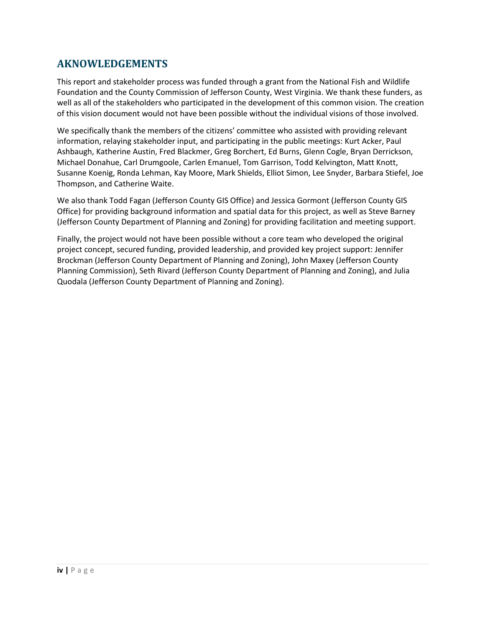### **AKNOWLEDGEMENTS**

This report and stakeholder process was funded through a grant from the National Fish and Wildlife Foundation and the County Commission of Jefferson County, West Virginia. We thank these funders, as well as all of the stakeholders who participated in the development of this common vision. The creation of this vision document would not have been possible without the individual visions of those involved.

We specifically thank the members of the citizens' committee who assisted with providing relevant information, relaying stakeholder input, and participating in the public meetings: Kurt Acker, Paul Ashbaugh, Katherine Austin, Fred Blackmer, Greg Borchert, Ed Burns, Glenn Cogle, Bryan Derrickson, Michael Donahue, Carl Drumgoole, Carlen Emanuel, Tom Garrison, Todd Kelvington, Matt Knott, Susanne Koenig, Ronda Lehman, Kay Moore, Mark Shields, Elliot Simon, Lee Snyder, Barbara Stiefel, Joe Thompson, and Catherine Waite.

We also thank Todd Fagan (Jefferson County GIS Office) and Jessica Gormont (Jefferson County GIS Office) for providing background information and spatial data for this project, as well as Steve Barney (Jefferson County Department of Planning and Zoning) for providing facilitation and meeting support.

Finally, the project would not have been possible without a core team who developed the original project concept, secured funding, provided leadership, and provided key project support: Jennifer Brockman (Jefferson County Department of Planning and Zoning), John Maxey (Jefferson County Planning Commission), Seth Rivard (Jefferson County Department of Planning and Zoning), and Julia Quodala (Jefferson County Department of Planning and Zoning).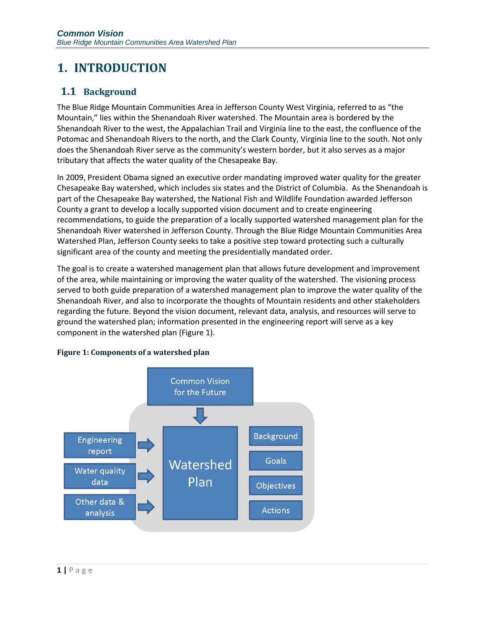## <span id="page-4-0"></span>**1. INTRODUCTION**

### <span id="page-4-1"></span>**1.1 Background**

The Blue Ridge Mountain Communities Area in Jefferson County West Virginia, referred to as "the Mountain," lies within the Shenandoah River watershed. The Mountain area is bordered by the Shenandoah River to the west, the Appalachian Trail and Virginia line to the east, the confluence of the Potomac and Shenandoah Rivers to the north, and the Clark County, Virginia line to the south. Not only does the Shenandoah River serve as the community's western border, but it also serves as a major tributary that affects the water quality of the Chesapeake Bay.

In 2009, President Obama signed an executive order mandating improved water quality for the greater Chesapeake Bay watershed, which includes six states and the District of Columbia. As the Shenandoah is part of the Chesapeake Bay watershed, the National Fish and Wildlife Foundation awarded Jefferson County a grant to develop a locally supported vision document and to create engineering recommendations, to guide the preparation of a locally supported watershed management plan for the Shenandoah River watershed in Jefferson County. Through the Blue Ridge Mountain Communities Area Watershed Plan, Jefferson County seeks to take a positive step toward protecting such a culturally significant area of the county and meeting the presidentially mandated order.

The goal is to create a watershed management plan that allows future development and improvement of the area, while maintaining or improving the water quality of the watershed. The visioning process served to both guide preparation of a watershed management plan to improve the water quality of the Shenandoah River, and also to incorporate the thoughts of Mountain residents and other stakeholders regarding the future. Beyond the vision document, relevant data, analysis, and resources will serve to ground the watershed plan; information presented in the engineering report will serve as a key component in the watershed plan [\(Figure 1\)](#page-4-2).

<span id="page-4-2"></span>

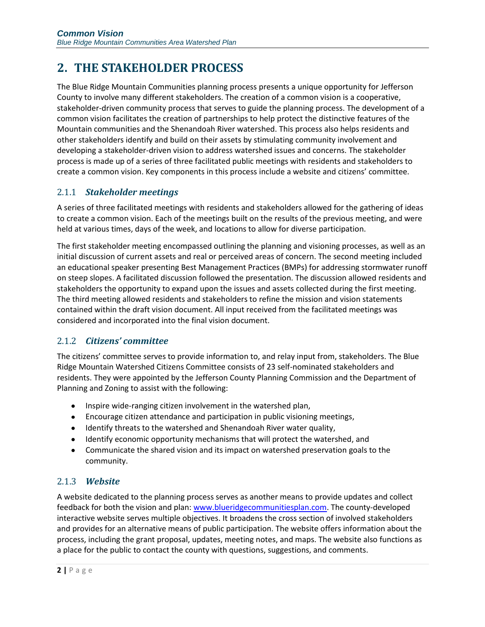## <span id="page-5-0"></span>**2. THE STAKEHOLDER PROCESS**

The Blue Ridge Mountain Communities planning process presents a unique opportunity for Jefferson County to involve many different stakeholders. The creation of a common vision is a cooperative, stakeholder-driven community process that serves to guide the planning process. The development of a common vision facilitates the creation of partnerships to help protect the distinctive features of the Mountain communities and the Shenandoah River watershed. This process also helps residents and other stakeholders identify and build on their assets by stimulating community involvement and developing a stakeholder-driven vision to address watershed issues and concerns. The stakeholder process is made up of a series of three facilitated public meetings with residents and stakeholders to create a common vision. Key components in this process include a website and citizens' committee.

#### 2.1.1 *Stakeholder meetings*

A series of three facilitated meetings with residents and stakeholders allowed for the gathering of ideas to create a common vision. Each of the meetings built on the results of the previous meeting, and were held at various times, days of the week, and locations to allow for diverse participation.

The first stakeholder meeting encompassed outlining the planning and visioning processes, as well as an initial discussion of current assets and real or perceived areas of concern. The second meeting included an educational speaker presenting Best Management Practices (BMPs) for addressing stormwater runoff on steep slopes. A facilitated discussion followed the presentation. The discussion allowed residents and stakeholders the opportunity to expand upon the issues and assets collected during the first meeting. The third meeting allowed residents and stakeholders to refine the mission and vision statements contained within the draft vision document. All input received from the facilitated meetings was considered and incorporated into the final vision document.

#### 2.1.2 *Citizens' committee*

The citizens' committee serves to provide information to, and relay input from, stakeholders. The Blue Ridge Mountain Watershed Citizens Committee consists of 23 self-nominated stakeholders and residents. They were appointed by the Jefferson County Planning Commission and the Department of Planning and Zoning to assist with the following:

- Inspire wide-ranging citizen involvement in the watershed plan,
- Encourage citizen attendance and participation in public visioning meetings,
- Identify threats to the watershed and Shenandoah River water quality,
- Identify economic opportunity mechanisms that will protect the watershed, and
- Communicate the shared vision and its impact on watershed preservation goals to the community.

#### 2.1.3 *Website*

A website dedicated to the planning process serves as another means to provide updates and collect feedback for both the vision and plan: [www.blueridgecommunitiesplan.com.](http://www.blueridgecommunitiesplan.com/) The county-developed interactive website serves multiple objectives. It broadens the cross section of involved stakeholders and provides for an alternative means of public participation. The website offers information about the process, including the grant proposal, updates, meeting notes, and maps. The website also functions as a place for the public to contact the county with questions, suggestions, and comments.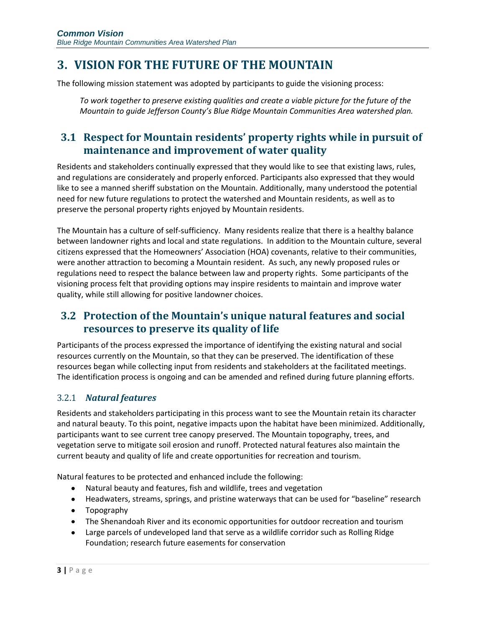## <span id="page-6-0"></span>**3. VISION FOR THE FUTURE OF THE MOUNTAIN**

The following mission statement was adopted by participants to guide the visioning process:

*To work together to preserve existing qualities and create a viable picture for the future of the Mountain to guide Jefferson County's Blue Ridge Mountain Communities Area watershed plan.*

## <span id="page-6-1"></span>**3.1 Respect for Mountain residents' property rights while in pursuit of maintenance and improvement of water quality**

Residents and stakeholders continually expressed that they would like to see that existing laws, rules, and regulations are considerately and properly enforced. Participants also expressed that they would like to see a manned sheriff substation on the Mountain. Additionally, many understood the potential need for new future regulations to protect the watershed and Mountain residents, as well as to preserve the personal property rights enjoyed by Mountain residents.

The Mountain has a culture of self-sufficiency. Many residents realize that there is a healthy balance between landowner rights and local and state regulations. In addition to the Mountain culture, several citizens expressed that the Homeowners' Association (HOA) covenants, relative to their communities, were another attraction to becoming a Mountain resident. As such, any newly proposed rules or regulations need to respect the balance between law and property rights. Some participants of the visioning process felt that providing options may inspire residents to maintain and improve water quality, while still allowing for positive landowner choices.

## <span id="page-6-2"></span>**3.2 Protection of the Mountain's unique natural features and social resources to preserve its quality of life**

Participants of the process expressed the importance of identifying the existing natural and social resources currently on the Mountain, so that they can be preserved. The identification of these resources began while collecting input from residents and stakeholders at the facilitated meetings. The identification process is ongoing and can be amended and refined during future planning efforts.

### 3.2.1 *Natural features*

Residents and stakeholders participating in this process want to see the Mountain retain its character and natural beauty. To this point, negative impacts upon the habitat have been minimized. Additionally, participants want to see current tree canopy preserved. The Mountain topography, trees, and vegetation serve to mitigate soil erosion and runoff. Protected natural features also maintain the current beauty and quality of life and create opportunities for recreation and tourism.

Natural features to be protected and enhanced include the following:

- Natural beauty and features, fish and wildlife, trees and vegetation
- Headwaters, streams, springs, and pristine waterways that can be used for "baseline" research
- Topography
- The Shenandoah River and its economic opportunities for outdoor recreation and tourism
- Large parcels of undeveloped land that serve as a wildlife corridor such as Rolling Ridge Foundation; research future easements for conservation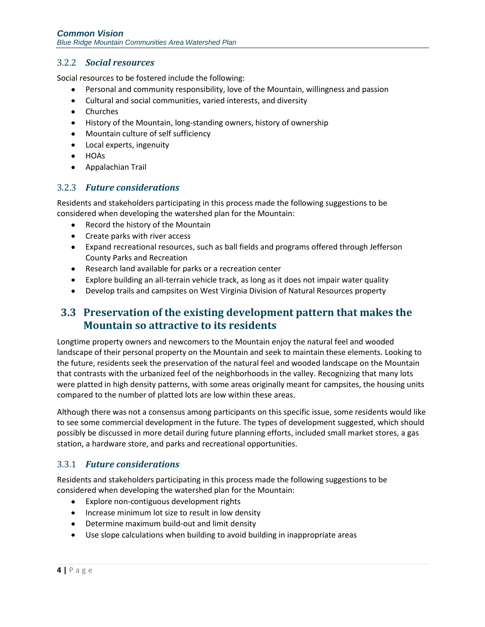#### 3.2.2 *Social resources*

Social resources to be fostered include the following:

- Personal and community responsibility, love of the Mountain, willingness and passion
- Cultural and social communities, varied interests, and diversity
- Churches
- History of the Mountain, long-standing owners, history of ownership
- Mountain culture of self sufficiency
- Local experts, ingenuity
- HOAs
- Appalachian Trail

#### 3.2.3 *Future considerations*

Residents and stakeholders participating in this process made the following suggestions to be considered when developing the watershed plan for the Mountain:

- Record the history of the Mountain
- Create parks with river access
- Expand recreational resources, such as ball fields and programs offered through Jefferson County Parks and Recreation
- Research land available for parks or a recreation center
- Explore building an all-terrain vehicle track, as long as it does not impair water quality
- Develop trails and campsites on West Virginia Division of Natural Resources property

### <span id="page-7-0"></span>**3.3 Preservation of the existing development pattern that makes the Mountain so attractive to its residents**

Longtime property owners and newcomers to the Mountain enjoy the natural feel and wooded landscape of their personal property on the Mountain and seek to maintain these elements. Looking to the future, residents seek the preservation of the natural feel and wooded landscape on the Mountain that contrasts with the urbanized feel of the neighborhoods in the valley. Recognizing that many lots were platted in high density patterns, with some areas originally meant for campsites, the housing units compared to the number of platted lots are low within these areas.

Although there was not a consensus among participants on this specific issue, some residents would like to see some commercial development in the future. The types of development suggested, which should possibly be discussed in more detail during future planning efforts, included small market stores, a gas station, a hardware store, and parks and recreational opportunities.

#### 3.3.1 *Future considerations*

Residents and stakeholders participating in this process made the following suggestions to be considered when developing the watershed plan for the Mountain:

- Explore non-contiguous development rights
- Increase minimum lot size to result in low density
- Determine maximum build-out and limit density
- Use slope calculations when building to avoid building in inappropriate areas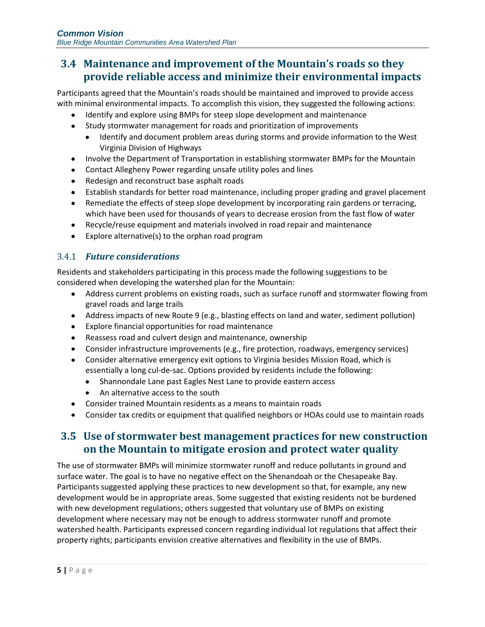## <span id="page-8-0"></span>**3.4 Maintenance and improvement of the Mountain's roads so they provide reliable access and minimize their environmental impacts**

Participants agreed that the Mountain's roads should be maintained and improved to provide access with minimal environmental impacts. To accomplish this vision, they suggested the following actions:

- Identify and explore using BMPs for steep slope development and maintenance
- Study stormwater management for roads and prioritization of improvements
	- Identify and document problem areas during storms and provide information to the West  $\bullet$ Virginia Division of Highways
- Involve the Department of Transportation in establishing stormwater BMPs for the Mountain
- Contact Allegheny Power regarding unsafe utility poles and lines  $\bullet$
- Redesign and reconstruct base asphalt roads
- Establish standards for better road maintenance, including proper grading and gravel placement
- Remediate the effects of steep slope development by incorporating rain gardens or terracing,  $\bullet$ which have been used for thousands of years to decrease erosion from the fast flow of water
- Recycle/reuse equipment and materials involved in road repair and maintenance
- Explore alternative(s) to the orphan road program  $\bullet$

#### 3.4.1 *Future considerations*

Residents and stakeholders participating in this process made the following suggestions to be considered when developing the watershed plan for the Mountain:

- Address current problems on existing roads, such as surface runoff and stormwater flowing from gravel roads and large trails
- Address impacts of new Route 9 (e.g., blasting effects on land and water, sediment pollution)
- Explore financial opportunities for road maintenance
- Reassess road and culvert design and maintenance, ownership
- Consider infrastructure improvements (e.g., fire protection, roadways, emergency services)
- Consider alternative emergency exit options to Virginia besides Mission Road, which is essentially a long cul-de-sac. Options provided by residents include the following:
	- Shannondale Lane past Eagles Nest Lane to provide eastern access  $\bullet$
	- An alternative access to the south
- Consider trained Mountain residents as a means to maintain roads
- Consider tax credits or equipment that qualified neighbors or HOAs could use to maintain roads

### <span id="page-8-1"></span>**3.5 Use of stormwater best management practices for new construction on the Mountain to mitigate erosion and protect water quality**

The use of stormwater BMPs will minimize stormwater runoff and reduce pollutants in ground and surface water. The goal is to have no negative effect on the Shenandoah or the Chesapeake Bay. Participants suggested applying these practices to new development so that, for example, any new development would be in appropriate areas. Some suggested that existing residents not be burdened with new development regulations; others suggested that voluntary use of BMPs on existing development where necessary may not be enough to address stormwater runoff and promote watershed health. Participants expressed concern regarding individual lot regulations that affect their property rights; participants envision creative alternatives and flexibility in the use of BMPs.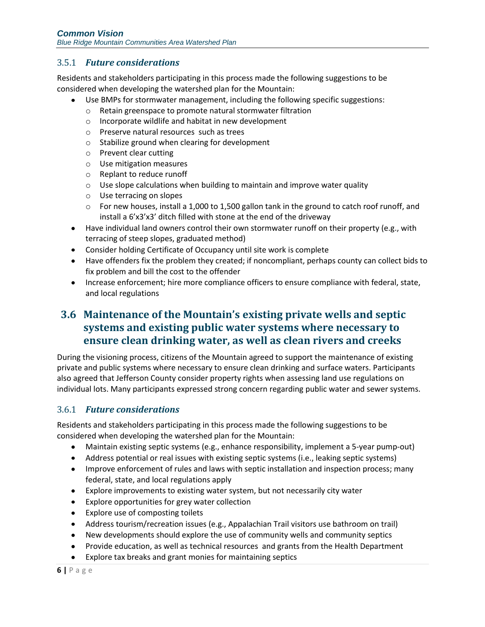#### 3.5.1 *Future considerations*

Residents and stakeholders participating in this process made the following suggestions to be considered when developing the watershed plan for the Mountain:

- Use BMPs for stormwater management, including the following specific suggestions:
	- o Retain greenspace to promote natural stormwater filtration
	- o Incorporate wildlife and habitat in new development
	- o Preserve natural resources such as trees
	- o Stabilize ground when clearing for development
	- o Prevent clear cutting
	- o Use mitigation measures
	- o Replant to reduce runoff
	- o Use slope calculations when building to maintain and improve water quality
	- o Use terracing on slopes
	- $\circ$  For new houses, install a 1,000 to 1,500 gallon tank in the ground to catch roof runoff, and install a 6'x3'x3' ditch filled with stone at the end of the driveway
- Have individual land owners control their own stormwater runoff on their property (e.g., with terracing of steep slopes, graduated method)
- Consider holding Certificate of Occupancy until site work is complete
- Have offenders fix the problem they created; if noncompliant, perhaps county can collect bids to fix problem and bill the cost to the offender
- Increase enforcement; hire more compliance officers to ensure compliance with federal, state, and local regulations

## <span id="page-9-0"></span>**3.6 Maintenance of the Mountain's existing private wells and septic systems and existing public water systems where necessary to ensure clean drinking water, as well as clean rivers and creeks**

During the visioning process, citizens of the Mountain agreed to support the maintenance of existing private and public systems where necessary to ensure clean drinking and surface waters. Participants also agreed that Jefferson County consider property rights when assessing land use regulations on individual lots. Many participants expressed strong concern regarding public water and sewer systems.

#### 3.6.1 *Future considerations*

Residents and stakeholders participating in this process made the following suggestions to be considered when developing the watershed plan for the Mountain:

- Maintain existing septic systems (e.g., enhance responsibility, implement a 5-year pump-out)
- Address potential or real issues with existing septic systems (i.e., leaking septic systems)
- Improve enforcement of rules and laws with septic installation and inspection process; many federal, state, and local regulations apply
- Explore improvements to existing water system, but not necessarily city water
- Explore opportunities for grey water collection
- Explore use of composting toilets
- Address tourism/recreation issues (e.g., Appalachian Trail visitors use bathroom on trail)
- New developments should explore the use of community wells and community septics
- Provide education, as well as technical resources and grants from the Health Department
- Explore tax breaks and grant monies for maintaining septics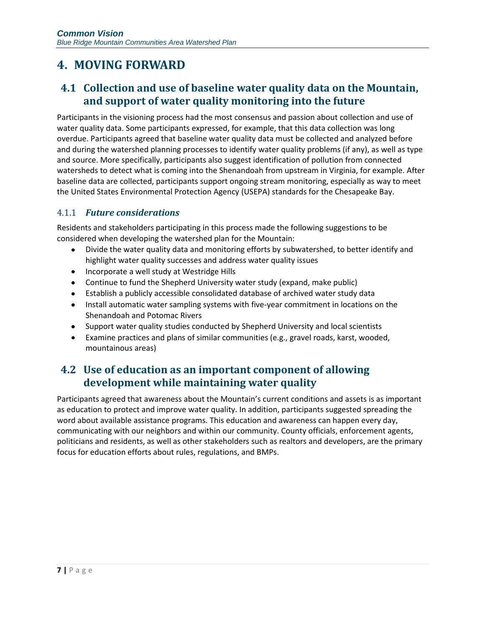## <span id="page-10-0"></span>**4. MOVING FORWARD**

## <span id="page-10-1"></span>**4.1 Collection and use of baseline water quality data on the Mountain, and support of water quality monitoring into the future**

Participants in the visioning process had the most consensus and passion about collection and use of water quality data. Some participants expressed, for example, that this data collection was long overdue. Participants agreed that baseline water quality data must be collected and analyzed before and during the watershed planning processes to identify water quality problems (if any), as well as type and source. More specifically, participants also suggest identification of pollution from connected watersheds to detect what is coming into the Shenandoah from upstream in Virginia, for example. After baseline data are collected, participants support ongoing stream monitoring, especially as way to meet the United States Environmental Protection Agency (USEPA) standards for the Chesapeake Bay.

#### 4.1.1 *Future considerations*

Residents and stakeholders participating in this process made the following suggestions to be considered when developing the watershed plan for the Mountain:

- $\bullet$ Divide the water quality data and monitoring efforts by subwatershed, to better identify and highlight water quality successes and address water quality issues
- Incorporate a well study at Westridge Hills
- Continue to fund the Shepherd University water study (expand, make public)
- Establish a publicly accessible consolidated database of archived water study data
- Install automatic water sampling systems with five-year commitment in locations on the Shenandoah and Potomac Rivers
- Support water quality studies conducted by Shepherd University and local scientists
- Examine practices and plans of similar communities (e.g., gravel roads, karst, wooded, mountainous areas)

## <span id="page-10-2"></span>**4.2 Use of education as an important component of allowing development while maintaining water quality**

Participants agreed that awareness about the Mountain's current conditions and assets is as important as education to protect and improve water quality. In addition, participants suggested spreading the word about available assistance programs. This education and awareness can happen every day, communicating with our neighbors and within our community. County officials, enforcement agents, politicians and residents, as well as other stakeholders such as realtors and developers, are the primary focus for education efforts about rules, regulations, and BMPs.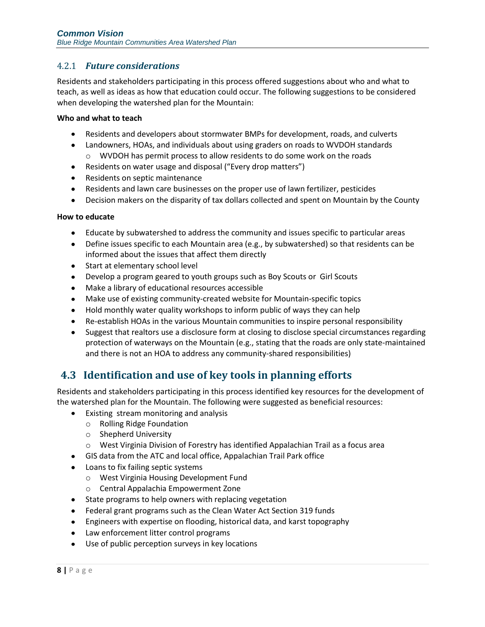#### 4.2.1 *Future considerations*

Residents and stakeholders participating in this process offered suggestions about who and what to teach, as well as ideas as how that education could occur. The following suggestions to be considered when developing the watershed plan for the Mountain:

#### **Who and what to teach**

- Residents and developers about stormwater BMPs for development, roads, and culverts
- Landowners, HOAs, and individuals about using graders on roads to WVDOH standards o WVDOH has permit process to allow residents to do some work on the roads
- Residents on water usage and disposal ("Every drop matters")
- Residents on septic maintenance
- Residents and lawn care businesses on the proper use of lawn fertilizer, pesticides
- Decision makers on the disparity of tax dollars collected and spent on Mountain by the County

#### **How to educate**

- Educate by subwatershed to address the community and issues specific to particular areas
- Define issues specific to each Mountain area (e.g., by subwatershed) so that residents can be informed about the issues that affect them directly
- Start at elementary school level
- Develop a program geared to youth groups such as Boy Scouts or Girl Scouts
- $\bullet$ Make a library of educational resources accessible
- Make use of existing community-created website for Mountain-specific topics
- Hold monthly water quality workshops to inform public of ways they can help
- Re-establish HOAs in the various Mountain communities to inspire personal responsibility  $\bullet$
- Suggest that realtors use a disclosure form at closing to disclose special circumstances regarding protection of waterways on the Mountain (e.g., stating that the roads are only state-maintained and there is not an HOA to address any community-shared responsibilities)

### <span id="page-11-0"></span>**4.3 Identification and use of key tools in planning efforts**

Residents and stakeholders participating in this process identified key resources for the development of the watershed plan for the Mountain. The following were suggested as beneficial resources:

- Existing stream monitoring and analysis
	- o Rolling Ridge Foundation
	- o Shepherd University
	- o West Virginia Division of Forestry has identified Appalachian Trail as a focus area
- GIS data from the ATC and local office, Appalachian Trail Park office
- Loans to fix failing septic systems
	- o West Virginia Housing Development Fund
	- o Central Appalachia Empowerment Zone
- State programs to help owners with replacing vegetation
- Federal grant programs such as the Clean Water Act Section 319 funds
- Engineers with expertise on flooding, historical data, and karst topography
- Law enforcement litter control programs
- Use of public perception surveys in key locations